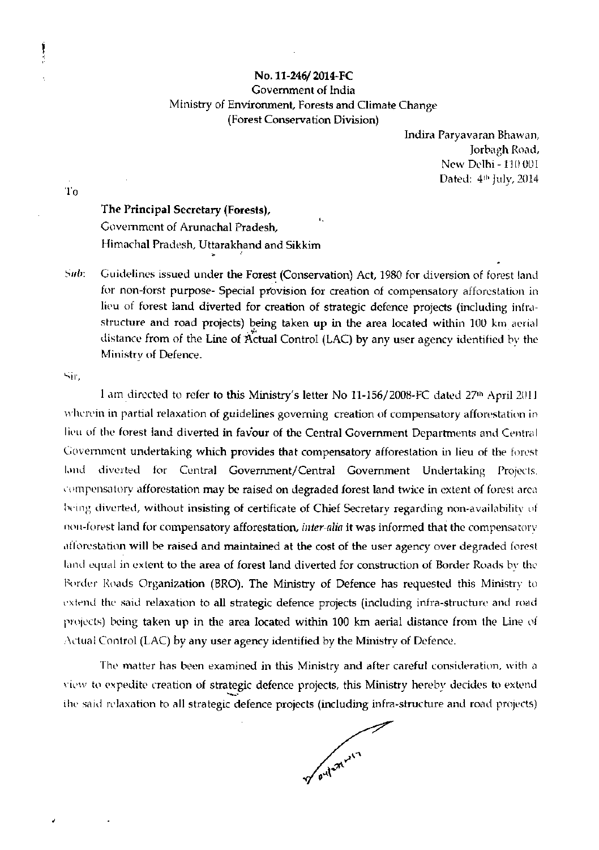## No. 11-246/2014-FC Government of India Ministry of Environment, Forests and Climate Change (Forest Conservation Division)

Indira Paryavaran Bhawan, Jorbagh Road, New Delhi - 110 001 Dated: 4th July, 2014

To

Į

## The Principal Secretary (Forests), Government of Arunachal Pradesh, Himachal Pradesh, Uttarakhand and Sikkim

Sub: Guidelines issued under the Forest (Conservation) Act, 1980 for diversion of forest land for non-forst purpose- Special provision for creation of compensatory afforestation in lieu of forest land diverted for creation of strategic defence projects (including infrastructure and road projects) being taken up in the area located within 100 km aerial distance from of the Line of Actual Control (LAC) by any user agency identified by the Ministry of Defence.

Sir.

1 am directed to refer to this Ministry's letter No 11-156/2008-FC dated 27th April 2011 wherein in partial relaxation of guidelines governing creation of compensatory afforestation in lieu of the forest land diverted in favour of the Central Government Departments and Central Government undertaking which provides that compensatory afforestation in lieu of the forest diverted for Central Government/Central Government Undertaking Projects. lənd compensatory afforestation may be raised on degraded forest land twice in extent of forest area being diverted, without insisting of certificate of Chief Secretary regarding non-availability of nou-forest land for compensatory afforestation, *inter-alia* it was informed that the compensatory afforestation will be raised and maintained at the cost of the user agency over degraded forest land equal in extent to the area of forest land diverted for construction of Border Roads by the Border Roads Organization (BRO). The Ministry of Defence has requested this Ministry to extend the said relaxation to all strategic defence projects (including infra-structure and road projects) being taken up in the area located within 100 km aerial distance from the Line of Actual Control (LAC) by any user agency identified by the Ministry of Defence.

The matter has been examined in this Ministry and after careful consideration, with a view to expedite creation of strategic defence projects, this Ministry hereby decides to extend the said relaxation to all strategic defence projects (including infra-structure and road projects)